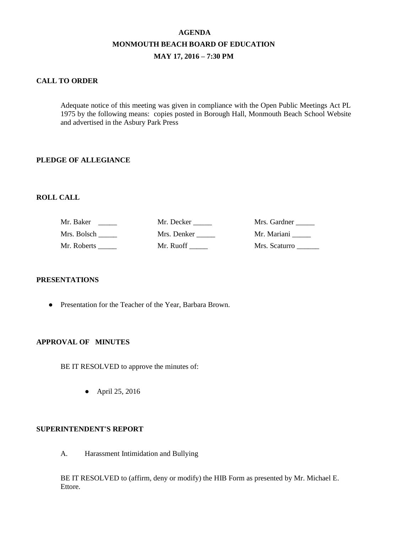# **AGENDA MONMOUTH BEACH BOARD OF EDUCATION MAY 17, 2016 – 7:30 PM**

### **CALL TO ORDER**

Adequate notice of this meeting was given in compliance with the Open Public Meetings Act PL 1975 by the following means: copies posted in Borough Hall, Monmouth Beach School Website and advertised in the Asbury Park Press

### **PLEDGE OF ALLEGIANCE**

### **ROLL CALL**

| Mr. Baker   | Mr. Decker  | Mrs. Gardner  |
|-------------|-------------|---------------|
| Mrs. Bolsch | Mrs. Denker | Mr. Mariani   |
| Mr. Roberts | Mr. Ruoff   | Mrs. Scaturro |

#### **PRESENTATIONS**

● Presentation for the Teacher of the Year, Barbara Brown.

### **APPROVAL OF MINUTES**

BE IT RESOLVED to approve the minutes of:

● April 25, 2016

### **SUPERINTENDENT'S REPORT**

A. Harassment Intimidation and Bullying

BE IT RESOLVED to (affirm, deny or modify) the HIB Form as presented by Mr. Michael E. Ettore.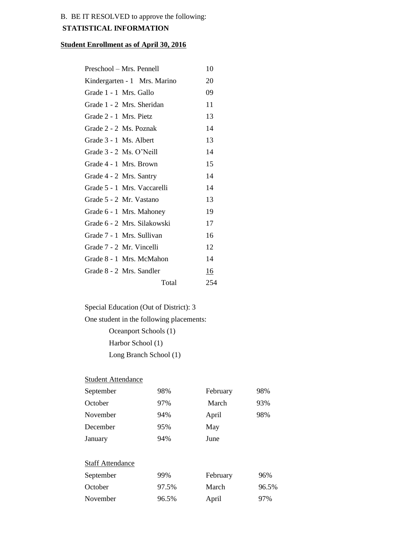## B. BE IT RESOLVED to approve the following:

## **STATISTICAL INFORMATION**

## **Student Enrollment as of April 30, 2016**

| Preschool – Mrs. Pennell     | 10  |
|------------------------------|-----|
| Kindergarten - 1 Mrs. Marino | 20  |
| Grade 1 - 1 Mrs. Gallo       | 09  |
| Grade 1 - 2 Mrs. Sheridan    | 11  |
| Grade 2 - 1 Mrs. Pietz       | 13  |
| Grade 2 - 2 Ms. Poznak       | 14  |
| Grade 3 - 1 Ms. Albert       | 13  |
| Grade 3 - 2 Ms. O'Neill      | 14  |
| Grade 4 - 1 Mrs. Brown       | 15  |
| Grade 4 - 2 Mrs. Santry      | 14  |
| Grade 5 - 1 Mrs. Vaccarelli  | 14  |
| Grade 5 - 2 Mr. Vastano      | 13  |
| Grade 6 - 1 Mrs. Mahoney     | 19  |
| Grade 6 - 2 Mrs. Silakowski  | 17  |
| Grade 7 - 1 Mrs. Sullivan    | 16  |
| Grade 7 - 2 Mr. Vincelli     | 12  |
| Grade 8 - 1 Mrs. McMahon     | 14  |
| Grade 8 - 2 Mrs. Sandler     | 16  |
| Total                        | 254 |

Special Education (Out of District): 3

One student in the following placements:

Oceanport Schools (1) Harbor School (1) Long Branch School (1)

## **Student Attendance**

| September               | 98%   | February | 98%   |
|-------------------------|-------|----------|-------|
| October                 | 97%   | March    | 93%   |
| November                | 94%   | April    | 98%   |
| December                | 95%   | May      |       |
| January                 | 94%   | June     |       |
| <b>Staff Attendance</b> |       |          |       |
| September               | 99%   | February | 96%   |
| October                 | 97.5% | March    | 96.5% |
| November                | 96.5% | April    | 97%   |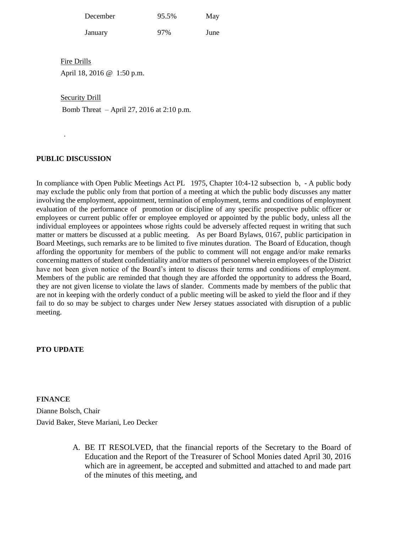| December | 95.5% | May |
|----------|-------|-----|

January 97% June

Fire Drills

April 18, 2016 @ 1:50 p.m.

Security Drill

Bomb Threat – April 27, 2016 at 2:10 p.m.

## **PUBLIC DISCUSSION**

.

In compliance with Open Public Meetings Act PL 1975, Chapter 10:4-12 subsection b, - A public body may exclude the public only from that portion of a meeting at which the public body discusses any matter involving the employment, appointment, termination of employment, terms and conditions of employment evaluation of the performance of promotion or discipline of any specific prospective public officer or employees or current public offer or employee employed or appointed by the public body, unless all the individual employees or appointees whose rights could be adversely affected request in writing that such matter or matters be discussed at a public meeting. As per Board Bylaws, 0167, public participation in Board Meetings, such remarks are to be limited to five minutes duration. The Board of Education, though affording the opportunity for members of the public to comment will not engage and/or make remarks concerning matters of student confidentiality and/or matters of personnel wherein employees of the District have not been given notice of the Board's intent to discuss their terms and conditions of employment. Members of the public are reminded that though they are afforded the opportunity to address the Board, they are not given license to violate the laws of slander. Comments made by members of the public that are not in keeping with the orderly conduct of a public meeting will be asked to yield the floor and if they fail to do so may be subject to charges under New Jersey statues associated with disruption of a public meeting.

## **PTO UPDATE**

## **FINANCE**

Dianne Bolsch, Chair David Baker, Steve Mariani, Leo Decker

> A. BE IT RESOLVED, that the financial reports of the Secretary to the Board of Education and the Report of the Treasurer of School Monies dated April 30, 2016 which are in agreement, be accepted and submitted and attached to and made part of the minutes of this meeting, and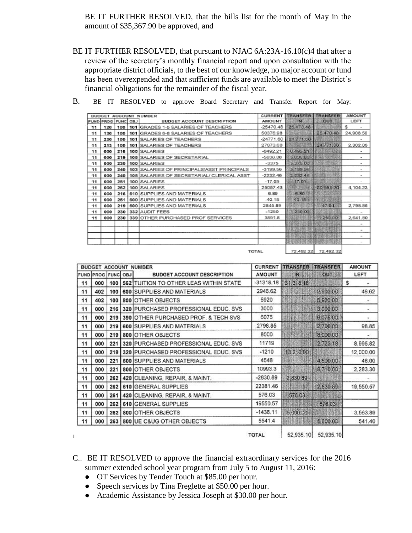BE IT FURTHER RESOLVED, that the bills list for the month of May in the amount of \$35,367.90 be approved, and

BE IT FURTHER RESOLVED, that pursuant to NJAC 6A:23A-16.10(c)4 that after a review of the secretary's monthly financial report and upon consultation with the appropriate district officials, to the best of our knowledge, no major account or fund has been overexpended and that sufficient funds are available to meet the District's financial obligations for the remainder of the fiscal year.

|     |                    |     | BUDGET ACCOUNT NUMBER                              | <b>CURRENT</b> | <b>TRANSFER</b> | <b>TRANSFER</b>     | <b>AMOUNT</b>            |
|-----|--------------------|-----|----------------------------------------------------|----------------|-----------------|---------------------|--------------------------|
|     | FUND PROG FUNC OBJ |     | <b>BUDGET ACCOUNT DESCRIPTION</b>                  | <b>AMOUNT</b>  | <b>HN</b>       | <b>OUT</b>          | LEFT                     |
| 11. | 120                |     | 100   101 GRADES 1-5 SALARIES OF TEACHERS          | $-25470.48$    | 26.470.48       |                     | s<br>×                   |
| 11  | 130                | 100 | 101 GRADES 6-8 SALARIES OF TEACHERS                | 50378.98       |                 | 25.470.48           | 24,908.50                |
| 11  | 230                | 100 | 101 SALARIES OF TEACHERS                           | $-24771.60$    | 24 771.60       |                     | $\scriptstyle\rm m$      |
| 11  | 213                | 100 | 101 SALARIES OF TEACHERS                           | 27073.60       |                 | 24,771.60           | 2,302.00                 |
| 11  | 000                |     | 216   100 SALARIES                                 | $-6492.21$     | 8.492.21        |                     | $\overline{\phantom{a}}$ |
| 11  | 000                |     | 219   105   SALARIES OF SECRETARIAL                | $-5636.88$     | 5.636.68        |                     | $\overline{\phantom{0}}$ |
| 11  | 000                |     | 230   100 SALARIES                                 | $-3375$        | 3.375.00        |                     | $\overline{\phantom{0}}$ |
| 11  | 000                |     | 240   103   SALARIES OF PRINCIPALS/ASST PRINCIPALS | $-3199.56$     | 3 199.56        |                     | $\overline{\phantom{a}}$ |
| 11  | 000                |     | 240   105   SALARIES OF SECRETARIAL/ CLERICAL ASST | $-2232.46$     | 2 232 46        |                     | ۰                        |
| 11  | 000                |     | 251   100 SALARIES                                 | $-17.09$       | 17.09           |                     | $\;$                     |
| 11  | cco                |     | 262   100   SALARIES                               | 25057.43       | 988             | 20953.20            | 4,104.23                 |
| 11  | 000                |     | 216 610 SUPPLIES AND MATERIALS                     | $-6.89$        | 6.89            |                     |                          |
| 11  | 000                |     | 251   600 SUPPLIES AND MATERIALS                   | $-40.15$       | 40.151          |                     |                          |
| 11  | 000                | 219 | 600 SUPPLIES AND MATERIALS                         | 2845.89        |                 | 47.04               | 2,798.85                 |
| 11  | 000                |     | 230 332 AUDIT FEES                                 | $-1250$        | 1 250 03        |                     | $\sim$                   |
| 11  | 600                |     | 230 339 OTHER PURCHASED PROF SERVICES              | 3891.8         |                 | 1 250.00            | 2.641.80                 |
|     |                    |     |                                                    |                |                 |                     | ×                        |
|     |                    |     |                                                    |                |                 |                     | $\sim$                   |
|     |                    |     |                                                    |                |                 |                     | $\sim$                   |
|     |                    |     |                                                    |                |                 |                     |                          |
|     |                    |     |                                                    | <b>TOTAL</b>   |                 | 72.492.32 72.492.32 |                          |

B. BE IT RESOLVED to approve Board Secretary and Transfer Report for May:

72,492.32 72,492.32

| <b>BUDGET ACCOUNT NUMBER</b> |                    | <b>CURRENT</b> | <b>TRANSFER</b>                          | <b>TRANSFER</b> | <b>AMOUNT</b> |            |           |
|------------------------------|--------------------|----------------|------------------------------------------|-----------------|---------------|------------|-----------|
|                              | FUND PROG FUNC OBJ |                | <b>BUDGET ACCOUNT DESCRIPTION</b>        | <b>AMOUNT</b>   | IN.           | <b>OUT</b> | LEFT      |
| 11                           | 000                | 100            | 562 TUITION TO OTHER LEAS WITHIN STATE   | $-31318.18$     | 3131818       |            | \$        |
| 11                           | 402                | 100            | 600 SUPPLIES AND MATERIALS               | 2946.62         |               | 2,900.00   | 46.62     |
| 11                           | 402                | 100            | 800 OTHER OBJECTS                        | 5920            |               | 5 920 00   | ÷         |
| 11                           | 000                |                | 216 320 PURCHASED PROFESSIONAL EDUC, SVS | 3000            |               | 3,000.00   | ۰         |
| 11                           | 000                |                | 219 390 OTHER PURCHASED PROF. & TECH SVS | 6075            |               | 6075.00    |           |
| 11                           | 000                |                | 219 600 SUPPLIES AND MATERIALS           | 2798.85         |               | 2700.00    | 98.85     |
| 11                           | 000                | 219            | 800 OTHER OBJECTS                        | 8000            |               | 8,000.00   | ۰         |
| 11                           | 000                | 221            | 320 PURCHASED PROFESSIONAL EDUC. SVS     | 11719           |               | 2,723.18   | 8,995.82  |
| 11                           | 000                |                | 219 320 PURCHASED PROFESSIONAL EDUC. SVS | $-1210$         | 13.2:0.00     |            | 12.000.00 |
| 11                           | 000                | 221            | 600 SUPPLIES AND MATERIALS               | 4548            |               | 4,500.00   | 48.00     |
| 11                           | 000                | 221            | 800 OTHER OBJECTS                        | 10993.3         |               | 8.710.00   | 2.283.30  |
| 11                           | 000                |                | 262 420 CLEANING, REPAIR, & MAINT.       | $-2830.89$      | 2,830 89      |            |           |
| 11                           | 000                |                | 262 610 GENERAL SUPPLIES                 | 22381.46        |               | 2830.89    | 19,550.57 |
| 11                           | 000                | 261            | 420 CLEANING, REPAIR, & MAINT.           | 576.03          | 576.03        |            |           |
| 11                           | 000                |                | 262 610 GENERAL SUPPLIES                 | 19550.57        |               | 576.03     |           |
| 11                           | 000                |                | 262 800 OTHER OBJECTS                    | $-1436.11$      | 5.000.00      |            | 3,563.89  |
| 11                           | 000                |                | 263 800 UE C&UG OTHER OBJECTS            | 5541.4          |               | 5,000.00   | 541.40    |
|                              |                    |                |                                          | <b>TOTAL</b>    | 52,935.10     | 52,935.10  |           |

## C.. BE IT RESOLVED to approve the financial extraordinary services for the 2016 summer extended school year program from July 5 to August 11, 2016:

- OT Services by Tender Touch at \$85.00 per hour.
- Speech services by Tina Freglette at \$50.00 per hour.
- Academic Assistance by Jessica Joseph at \$30.00 per hour.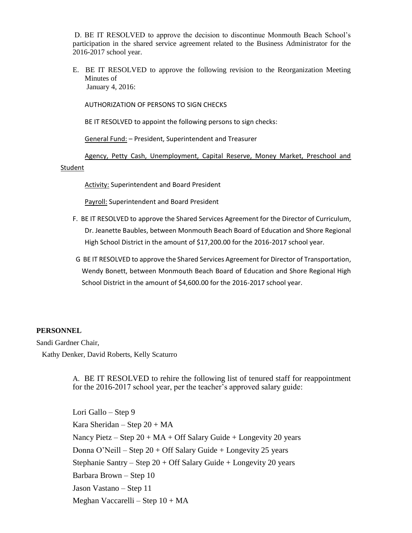D. BE IT RESOLVED to approve the decision to discontinue Monmouth Beach School's participation in the shared service agreement related to the Business Administrator for the 2016-2017 school year.

E. BE IT RESOLVED to approve the following revision to the Reorganization Meeting Minutes of January 4, 2016:

AUTHORIZATION OF PERSONS TO SIGN CHECKS

BE IT RESOLVED to appoint the following persons to sign checks:

General Fund: – President, Superintendent and Treasurer

Agency, Petty Cash, Unemployment, Capital Reserve, Money Market, Preschool and

### Student

**Activity: Superintendent and Board President** 

Payroll: Superintendent and Board President

- F. BE IT RESOLVED to approve the Shared Services Agreement for the Director of Curriculum, Dr. Jeanette Baubles, between Monmouth Beach Board of Education and Shore Regional High School District in the amount of \$17,200.00 for the 2016-2017 school year.
- G BE IT RESOLVED to approve the Shared Services Agreement for Director of Transportation, Wendy Bonett, between Monmouth Beach Board of Education and Shore Regional High School District in the amount of \$4,600.00 for the 2016-2017 school year.

#### **PERSONNEL**

Sandi Gardner Chair, Kathy Denker, David Roberts, Kelly Scaturro

> A. BE IT RESOLVED to rehire the following list of tenured staff for reappointment for the 2016-2017 school year, per the teacher's approved salary guide:

Lori Gallo – Step 9 Kara Sheridan – Step  $20 + MA$ Nancy Pietz – Step  $20 + MA + Off$  Salary Guide + Longevity 20 years Donna O'Neill – Step  $20 +$  Off Salary Guide + Longevity 25 years Stephanie Santry – Step  $20 + \text{Off Salary Guide} + \text{Longivity } 20 \text{ years}$ Barbara Brown – Step 10 Jason Vastano – Step 11 Meghan Vaccarelli – Step 10 + MA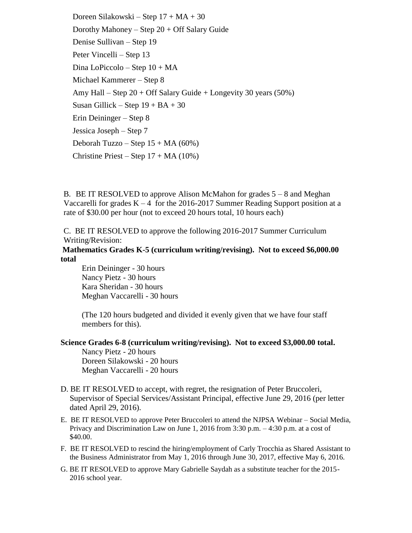Doreen Silakowski – Step  $17 + MA + 30$ Dorothy Mahoney – Step  $20 +$  Off Salary Guide Denise Sullivan – Step 19 Peter Vincelli – Step 13 Dina LoPiccolo – Step 10 + MA Michael Kammerer – Step 8 Amy Hall – Step  $20 + \text{Off Salary Guide} + \text{Longivity } 30 \text{ years } (50\%)$ Susan Gillick – Step  $19 + BA + 30$ Erin Deininger – Step 8 Jessica Joseph – Step 7 Deborah Tuzzo – Step 15 + MA (60%) Christine Priest – Step  $17 + MA(10\%)$ 

B. BE IT RESOLVED to approve Alison McMahon for grades  $5 - 8$  and Meghan Vaccarelli for grades  $K - 4$  for the 2016-2017 Summer Reading Support position at a rate of \$30.00 per hour (not to exceed 20 hours total, 10 hours each)

C. BE IT RESOLVED to approve the following 2016-2017 Summer Curriculum Writing/Revision:

**Mathematics Grades K-5 (curriculum writing/revising). Not to exceed \$6,000.00 total**

Erin Deininger - 30 hours Nancy Pietz - 30 hours Kara Sheridan - 30 hours Meghan Vaccarelli - 30 hours

(The 120 hours budgeted and divided it evenly given that we have four staff members for this).

### **Science Grades 6-8 (curriculum writing/revising). Not to exceed \$3,000.00 total.**

Nancy Pietz - 20 hours Doreen Silakowski - 20 hours Meghan Vaccarelli - 20 hours

- D. BE IT RESOLVED to accept, with regret, the resignation of Peter Bruccoleri, Supervisor of Special Services/Assistant Principal, effective June 29, 2016 (per letter dated April 29, 2016).
- E. BE IT RESOLVED to approve Peter Bruccoleri to attend the NJPSA Webinar Social Media, Privacy and Discrimination Law on June 1, 2016 from 3:30 p.m. – 4:30 p.m. at a cost of \$40.00.
- F. BE IT RESOLVED to rescind the hiring/employment of Carly Trocchia as Shared Assistant to the Business Administrator from May 1, 2016 through June 30, 2017, effective May 6, 2016.
- G. BE IT RESOLVED to approve Mary Gabrielle Saydah as a substitute teacher for the 2015- 2016 school year.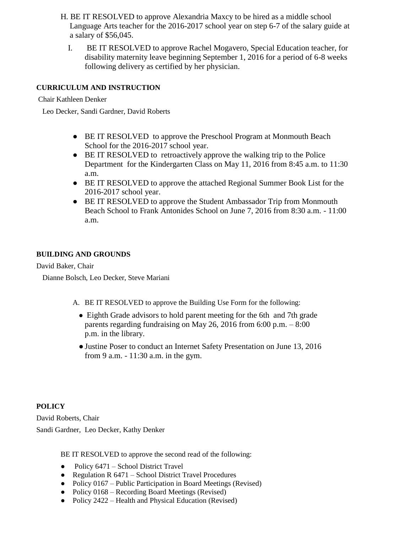- H. BE IT RESOLVED to approve Alexandria Maxcy to be hired as a middle school Language Arts teacher for the 2016-2017 school year on step 6-7 of the salary guide at a salary of \$56,045.
	- I. BE IT RESOLVED to approve Rachel Mogavero, Special Education teacher, for disability maternity leave beginning September 1, 2016 for a period of 6-8 weeks following delivery as certified by her physician.

## **CURRICULUM AND INSTRUCTION**

Chair Kathleen Denker

Leo Decker, Sandi Gardner, David Roberts

- BE IT RESOLVED to approve the Preschool Program at Monmouth Beach School for the 2016-2017 school year.
- BE IT RESOLVED to retroactively approve the walking trip to the Police Department for the Kindergarten Class on May 11, 2016 from 8:45 a.m. to 11:30 a.m.
- BE IT RESOLVED to approve the attached Regional Summer Book List for the 2016-2017 school year.
- BE IT RESOLVED to approve the Student Ambassador Trip from Monmouth Beach School to Frank Antonides School on June 7, 2016 from 8:30 a.m. - 11:00 a.m.

## **BUILDING AND GROUNDS**

David Baker, Chair

Dianne Bolsch, Leo Decker, Steve Mariani

- A. BE IT RESOLVED to approve the Building Use Form for the following:
	- Eighth Grade advisors to hold parent meeting for the 6th and 7th grade parents regarding fundraising on May 26, 2016 from 6:00 p.m. – 8:00 p.m. in the library.
	- ●Justine Poser to conduct an Internet Safety Presentation on June 13, 2016 from 9 a.m. - 11:30 a.m. in the gym.

## **POLICY**

David Roberts, Chair Sandi Gardner, Leo Decker, Kathy Denker

BE IT RESOLVED to approve the second read of the following:

- Policy 6471 School District Travel
- Regulation R 6471 School District Travel Procedures
- Policy 0167 Public Participation in Board Meetings (Revised)
- Policy 0168 Recording Board Meetings (Revised)
- Policy 2422 Health and Physical Education (Revised)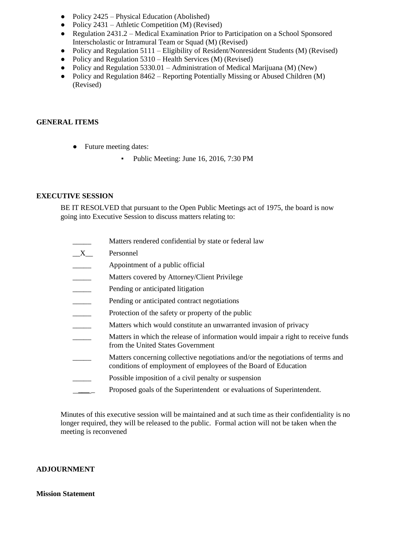- Policy 2425 Physical Education (Abolished)
- Policy  $2431$  Athletic Competition (M) (Revised)
- Regulation 2431.2 Medical Examination Prior to Participation on a School Sponsored Interscholastic or Intramural Team or Squad (M) (Revised)
- Policy and Regulation 5111 Eligibility of Resident/Nonresident Students (M) (Revised)
- Policy and Regulation 5310 Health Services (M) (Revised)
- Policy and Regulation 5330.01 Administration of Medical Marijuana (M) (New)
- Policy and Regulation 8462 Reporting Potentially Missing or Abused Children (M) (Revised)

### **GENERAL ITEMS**

- Future meeting dates:
	- Public Meeting: June 16, 2016, 7:30 PM

### **EXECUTIVE SESSION**

BE IT RESOLVED that pursuant to the Open Public Meetings act of 1975, the board is now going into Executive Session to discuss matters relating to:

- Matters rendered confidential by state or federal law
- \_\_X\_\_ Personnel
- **EXECUTE:** Appointment of a public official
- Matters covered by Attorney/Client Privilege
- Pending or anticipated litigation
- Pending or anticipated contract negotiations
- Protection of the safety or property of the public
- Matters which would constitute an unwarranted invasion of privacy
- Matters in which the release of information would impair a right to receive funds from the United States Government
- Matters concerning collective negotiations and/or the negotiations of terms and conditions of employment of employees of the Board of Education
- Possible imposition of a civil penalty or suspension
- Proposed goals of the Superintendent or evaluations of Superintendent.

Minutes of this executive session will be maintained and at such time as their confidentiality is no longer required, they will be released to the public. Formal action will not be taken when the meeting is reconvened

#### **ADJOURNMENT**